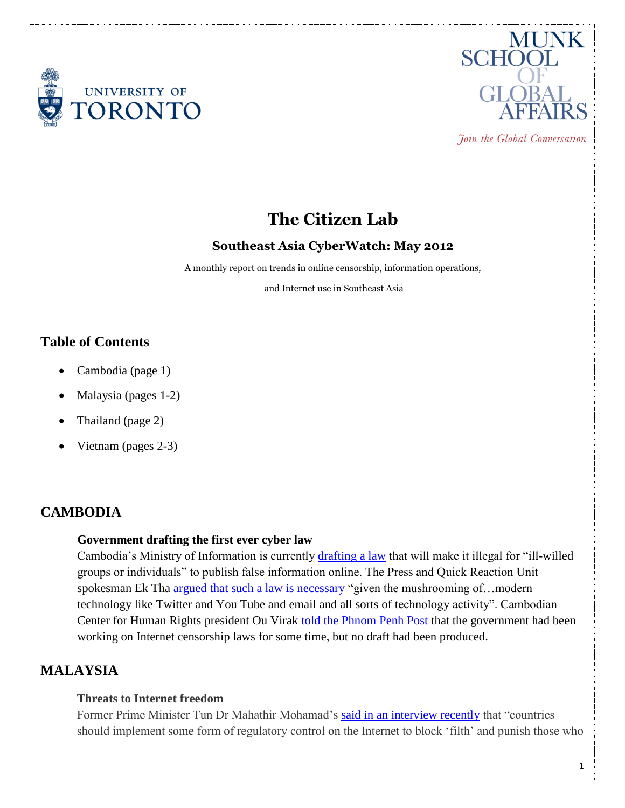



Join the Global Conversation

# **The Citizen Lab**

#### **Southeast Asia CyberWatch: May 2012**

A monthly report on trends in online censorship, information operations,

and Internet use in Southeast Asia

### **Table of Contents**

- Cambodia (page 1)
- Malaysia (pages 1-2)
- Thailand (page 2)
- Vietnam (pages 2-3)

## **CAMBODIA**

#### **Government drafting the first ever cyber law**

Cambodia's Ministry of Information is currently [drafting a law](http://www.futuregov.asia/articles/2009/jan/20/cambodia-drafts-law-regulate-internet/) that will make it illegal for "ill-willed groups or individuals" to publish false information online. The Press and Quick Reaction Unit spokesman Ek Tha [argued that such a law is necessary](http://www.cchrcambodia.org/index_old.php?url=media/media.php&p=alert_detail.php&alid=21&id=5) "given the mushrooming of...modern technology like Twitter and You Tube and email and all sorts of technology activity". Cambodian Center for Human Rights president Ou Virak [told the Phnom Penh Post](http://www.phnompenhpost.com/index.php/2012052456372/National-news/the-ill-willed-spark-cyber-law-officials.html) that the government had been working on Internet censorship laws for some time, but no draft had been produced.

### **MALAYSIA**

#### **Threats to Internet freedom**

Former Prime Minister Tun Dr Mahathir Mohamad's [said in an interview recently](http://www.todayonline.com/World/EDC120604-0000056/Mahathir-now-backs-Net-censorship) that "countries should implement some form of regulatory control on the Internet to block 'filth' and punish those who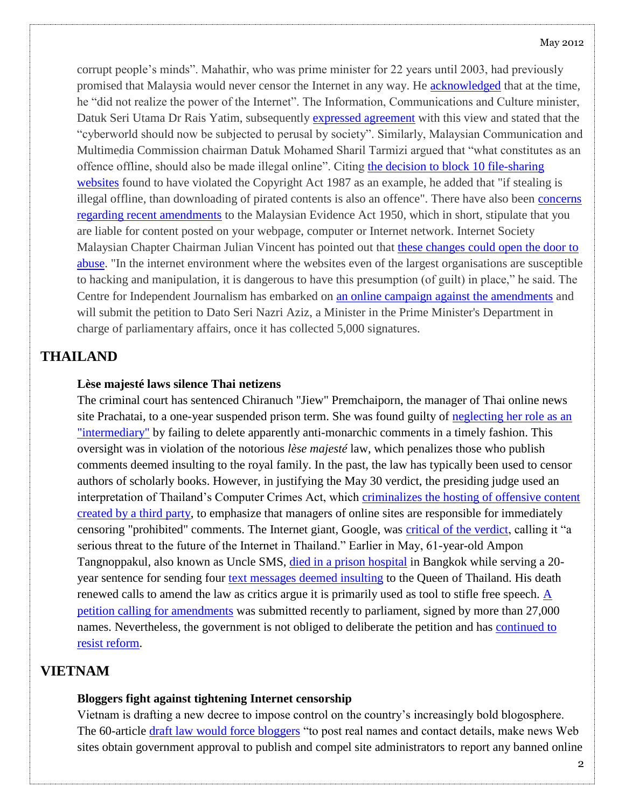#### May 2012

corrupt people's minds". Mahathir, who was prime minister for 22 years until 2003, had previously promised that Malaysia would never censor the Internet in any way. He [acknowledged](http://malaysia-today.net/mtcolumns/newscommentaries/49755-tun-m-admits-to-underestimating-power-of-internet) that at the time, he "did not realize the power of the Internet". The Information, Communications and Culture minister, Datuk Seri Utama Dr Rais Yatim, subsequently [expressed agreement](http://www.themalaysianinsider.com/malaysia/article/rais-backs-dr-m-call-for-curbs-to-internet-freedom) with this view and stated that the "cyberworld should now be subjected to perusal by society". Similarly, Malaysian Communication and Multimedia Commission chairman Datuk Mohamed Sharil Tarmizi argued that "what constitutes as an offence offline, should also be made illegal online". Citing the decision to block 10 file-sharing [websites](http://thestar.com.my/news/story.asp?file=/2011/6/11/nation/8879884&sec=nation) found to have violated the Copyright Act 1987 as an example, he added that "if stealing is illegal offline, than downloading of pirated contents is also an offence". There have also been [concerns](http://www.thesundaily.my/news/399289)  [regarding recent amendments](http://www.thesundaily.my/news/399289) to the Malaysian Evidence Act 1950, which in short, stipulate that you are liable for content posted on your webpage, computer or Internet network. Internet Society Malaysian Chapter Chairman Julian Vincent has pointed out that [these changes could open the door to](http://www.thesundaily.my/news/391905)  [abuse.](http://www.thesundaily.my/news/391905) "In the internet environment where the websites even of the largest organisations are susceptible to hacking and manipulation, it is dangerous to have this presumption (of guilt) in place," he said. The Centre for Independent Journalism has embarked on [an online campaign against the amendments](http://www.freemalaysiatoday.com/category/nation/2012/06/06/online-petition-against-evidence-act/) and will submit the petition to Dato Seri Nazri Aziz, a Minister in the Prime Minister's Department in charge of parliamentary affairs, once it has collected 5,000 signatures.

#### **THAILAND**

#### **Lèse majesté laws silence Thai netizens**

The criminal court has sentenced Chiranuch "Jiew" Premchaiporn, the manager of Thai online news site Prachatai, to a one-year suspended prison term. She was found guilty of [neglecting her role as an](http://www.ipsnews.net/news.asp?idnews=108035)  ["intermediary"](http://www.ipsnews.net/news.asp?idnews=108035) by failing to delete apparently anti-monarchic comments in a timely fashion. This oversight was in violation of the notorious *lèse majesté* law, which penalizes those who publish comments deemed insulting to the royal family. In the past, the law has typically been used to censor authors of scholarly books. However, in justifying the May 30 verdict, the presiding judge used an interpretation of Thailand's Computer Crimes Act, which [criminalizes the hosting of offensive content](http://www.cjr.org/the_kicker/in_thailand_moderate_comments.php)  [created by a third party,](http://www.cjr.org/the_kicker/in_thailand_moderate_comments.php) to emphasize that managers of online sites are responsible for immediately censoring "prohibited" comments. The Internet giant, Google, was [critical of the verdict,](http://googlethailand.blogspot.ca/2012/05/threat-to-potential-of-thailands.html) calling it "a serious threat to the future of the Internet in Thailand." Earlier in May, 61-year-old Ampon Tangnoppakul, also known as Uncle SMS, [died in a prison hospital](http://www.bbc.co.uk/news/world-asia-17986573) in Bangkok while serving a 20 year sentence for sending four [text messages deemed insulting](http://www.reuters.com/article/2012/05/08/us-thailand-lesemajeste-idUSBRE84709M20120508) to the Queen of Thailand. His death renewed calls to amend the law as critics argue it is primarily used as tool to stifle free speech.  $\overline{A}$ [petition calling for amendments](http://www.google.com/hostednews/afp/article/ALeqM5iZWCisI1J7a8_EsfOkbCVJfV4z4Q?docId=CNG.09dad4b744a11bc18998331aa1a4750f.161) was submitted recently to parliament, signed by more than 27,000 names. Nevertheless, the government is not obliged to deliberate the petition and has [continued to](http://www.economist.com/node/21554585)  [resist reform.](http://www.economist.com/node/21554585)

### **VIETNAM**

#### **Bloggers fight against tightening Internet censorship**

Vietnam is drafting a new decree to impose control on the country's increasingly bold blogosphere. The 60-article [draft law would force bloggers](http://www.google.com/hostednews/afp/article/ALeqM5jkygudaj7EdQQlb62I-_2-lS2cEQ?docId=CNG.9fa1669feb74ea605863578332ad3376.1d1) "to post real names and contact details, make news Web sites obtain government approval to publish and compel site administrators to report any banned online